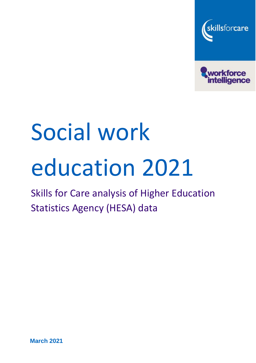



# Social work education 2021

# Skills for Care analysis of Higher Education Statistics Agency (HESA) data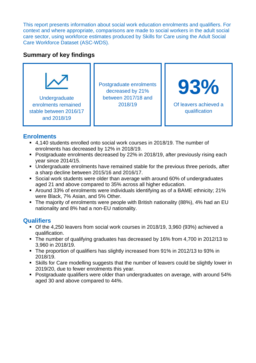This report presents information about social work education enrolments and qualifiers. For context and where appropriate, comparisons are made to social workers in the adult social care sector, using workforce estimates produced by Skills for Care using the Adult Social Care Workforce Dataset (ASC-WDS).

# **Summary of key findings**



# **Enrolments**

- 4,140 students enrolled onto social work courses in 2018/19. The number of enrolments has decreased by 12% in 2018/19.
- Postgraduate enrolments decreased by 22% in 2018/19, after previously rising each year since 2014/15.
- Undergraduate enrolments have remained stable for the previous three periods, after a sharp decline between 2015/16 and 2016/17.
- Social work students were older than average with around 60% of undergraduates aged 21 and above compared to 35% across all higher education.
- Around 33% of enrolments were individuals identifying as of a BAME ethnicity; 21% were Black, 7% Asian, and 5% Other.
- The majority of enrolments were people with British nationality (88%), 4% had an EU nationality and 8% had a non-EU nationality.

# **Qualifiers**

- Of the 4,250 leavers from social work courses in 2018/19, 3,960 (93%) achieved a qualification.
- The number of qualifying graduates has decreased by 16% from 4,700 in 2012/13 to 3,960 in 2018/19.
- The proportion of qualifiers has slightly increased from 91% in 2012/13 to 93% in 2018/19.
- Skills for Care modelling suggests that the number of leavers could be slightly lower in 2019/20, due to fewer enrolments this year.
- Postgraduate qualifiers were older than undergraduates on average, with around 54% aged 30 and above compared to 44%.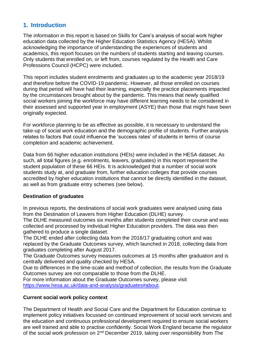# **1. Introduction**

The information in this report is based on Skills for Care's analysis of social work higher education data collected by the Higher Education Statistics Agency (HESA). Whilst acknowledging the importance of understanding the experiences of students and academics, this report focuses on the numbers of students starting and leaving courses. Only students that enrolled on, or left from, courses regulated by the Health and Care Professions Council (HCPC) were included.

This report includes student enrolments and graduates up to the academic year 2018/19 and therefore before the COVID-19 pandemic. However, all those enrolled on courses during that period will have had their learning, especially the practice placements impacted by the circumstances brought about by the pandemic. This means that newly qualified social workers joining the workforce may have different learning needs to be considered in their assessed and supported year in employment (ASYE) than those that might have been originally expected.

For workforce planning to be as effective as possible, it is necessary to understand the take-up of social work education and the demographic profile of students. Further analysis relates to factors that could influence the 'success rates' of students in terms of course completion and academic achievement.

Data from 66 higher education institutions (HEIs) were included in the HESA dataset. As such, all total figures (e.g. enrolments, leavers, graduates) in this report represent the student population of these 66 HEIs. It is acknowledged that a number of social work students study at, and graduate from, further education colleges that provide courses accredited by higher education institutions that cannot be directly identified in the dataset, as well as from graduate entry schemes (see below).

# **Destination of graduates**

In previous reports, the destinations of social work graduates were analysed using data from the Destination of Leavers from Higher Education (DLHE) survey.

The DLHE measured outcomes six months after students completed their course and was collected and processed by individual Higher Education providers. The data was then gathered to produce a single dataset.

The DLHE ended after collecting data from the 2016/17 graduating cohort and was replaced by the Graduate Outcomes survey, which launched in 2018, collecting data from graduates completing after August 2017.

The Graduate Outcomes survey measures outcomes at 15 months after graduation and is centrally delivered and quality checked by HESA.

Due to differences in the time-scale and method of collection, the results from the Graduate Outcomes survey are not comparable to those from the DLHE.

For more information about the Graduate Outcomes survey, please visit [https://www.hesa.ac.uk/data-and-analysis/graduates#about.](https://www.hesa.ac.uk/data-and-analysis/graduates#about)

# **Current social work policy context**

The Department of Health and Social Care and the Department for Education continue to implement policy initiatives focussed on continued improvement of social work services and the education and continuous professional development required to ensure social workers are well trained and able to practise confidently. Social Work England became the regulator of the social work profession on 2<sup>nd</sup> December 2019, taking over responsibility from The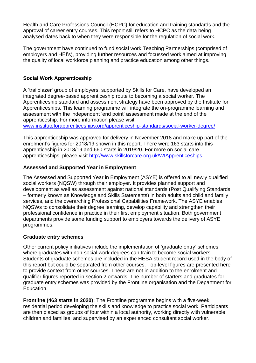Health and Care Professions Council (HCPC) for education and training standards and the approval of career entry courses. This report still refers to HCPC as the data being analysed dates back to when they were responsible for the regulation of social work.

The government have continued to fund social work Teaching Partnerships (comprised of employers and HEI's), providing further resources and focussed work aimed at improving the quality of local workforce planning and practice education among other things.

# **Social Work Apprenticeship**

A 'trailblazer' group of employers, supported by Skills for Care, have developed an integrated degree-based apprenticeship route to becoming a social worker. The Apprenticeship standard and assessment strategy have been approved by the Institute for Apprenticeships. This learning programme will integrate the on-programme learning and assessment with the independent 'end point' assessment made at the end of the apprenticeship. For more information please visit:

[www.instituteforapprenticeships.org/apprenticeship-standards/social-worker-degree/](http://www.instituteforapprenticeships.org/apprenticeship-standards/social-worker-degree/)

This apprenticeship was approved for delivery in November 2018 and make up part of the enrolment's figures for 2018/19 shown in this report. There were 163 starts into this apprenticeship in 2018/19 and 660 starts in 2019/20. For more on social care apprenticeships, please visit [http://www.skillsforcare.org.uk/WIApprenticeships.](http://www.skillsforcare.org.uk/WIApprenticeships)

# **Assessed and Supported Year in Employment**

The Assessed and Supported Year in Employment (ASYE) is offered to all newly qualified social workers (NQSW) through their employer. It provides planned support and development as well as assessment against national standards (Post Qualifying Standards – formerly known as Knowledge and Skills Statements) in both adults and child and family services, and the overarching Professional Capabilities Framework. The ASYE enables NQSWs to consolidate their degree learning, develop capability and strengthen their professional confidence in practice in their first employment situation. Both government departments provide some funding support to employers towards the delivery of ASYE programmes.

# **Graduate entry schemes**

Other current policy initiatives include the implementation of 'graduate entry' schemes where graduates with non-social work degrees can train to become social workers. Students of graduate schemes are included in the HESA student record used in the body of this report but could be separated from other courses. Top-level figures are presented here to provide context from other sources. These are not in addition to the enrolment and qualifier figures reported in section 2 onwards. The number of starters and graduates for graduate entry schemes was provided by the Frontline organisation and the Department for Education.

**Frontline (463 starts in 2020):** The Frontline programme begins with a five-week residential period developing the skills and knowledge to practice social work. Participants are then placed as groups of four within a local authority, working directly with vulnerable children and families, and supervised by an experienced consultant social worker.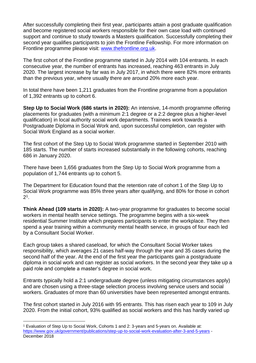After successfully completing their first year, participants attain a post graduate qualification and become registered social workers responsible for their own case load with continued support and continue to study towards a Masters qualification. Successfully completing their second year qualifies participants to join the Frontline Fellowship. For more information on Frontline programme please visit: [www.thefrontline.org.uk.](http://www.thefrontline.org.uk/)

The first cohort of the Frontline programme started in July 2014 with 104 entrants. In each consecutive year, the number of entrants has increased, reaching 463 entrants in July 2020. The largest increase by far was in July 2017, in which there were 82% more entrants than the previous year, where usually there are around 20% more each year.

In total there have been 1,211 graduates from the Frontline programme from a population of 1,392 entrants up to cohort 6.

**Step Up to Social Work (686 starts in 2020):** An intensive, 14-month programme offering placements for graduates (with a minimum 2:1 degree or a 2:2 degree plus a higher-level qualification) in local authority social work departments. Trainees work towards a Postgraduate Diploma in Social Work and, upon successful completion, can register with Social Work England as a social worker.

The first cohort of the Step Up to Social Work programme started in September 2010 with 185 starts. The number of starts increased substantially in the following cohorts, reaching 686 in January 2020.

There have been 1,656 graduates from the Step Up to Social Work programme from a population of 1,744 entrants up to cohort 5.

The Department for Education found that the retention rate of cohort 1 of the Step Up to Social Work programme was 85% three years after qualifying, and 80% for those in cohort  $2^1$ .

**Think Ahead (109 starts in 2020):** A two-year programme for graduates to become social workers in mental health service settings. The programme begins with a six-week residential Summer Institute which prepares participants to enter the workplace. They then spend a year training within a community mental health service, in groups of four each led by a Consultant Social Worker.

Each group takes a shared caseload, for which the Consultant Social Worker takes responsibility, which averages 21 cases half-way through the year and 35 cases during the second half of the year. At the end of the first year the participants gain a postgraduate diploma in social work and can register as social workers. In the second year they take up a paid role and complete a master's degree in social work.

Entrants typically hold a 2:1 undergraduate degree (unless mitigating circumstances apply) and are chosen using a three-stage selection process involving service users and social workers. Graduates of more than 60 universities have been represented amongst entrants.

The first cohort started in July 2016 with 95 entrants. This has risen each year to 109 in July 2020. From the initial cohort, 93% qualified as social workers and this has hardly varied up

<sup>1</sup> Evaluation of Step Up to Social Work, Cohorts 1 and 2: 3-years and 5-years on. Available at: <https://www.gov.uk/government/publications/step-up-to-social-work-evaluation-after-3-and-5-years> - December 2018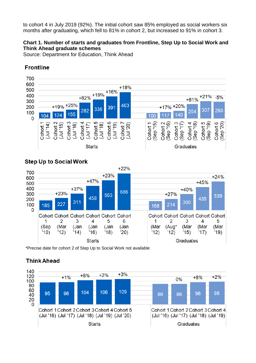to cohort 4 in July 2019 (92%). The initial cohort saw 85% employed as social workers six months after graduating, which fell to 81% in cohort 2, but increased to 91% in cohort 3.

# **Chart 1. Number of starts and graduates from Frontline, Step Up to Social Work and Think Ahead graduate schemes**

Source: Department for Education, Think Ahead



# **Frontline**

# **Step Up to Social Work**



\*Precise date for cohort 2 of Step Up to Social Work not available

# **Think Ahead**

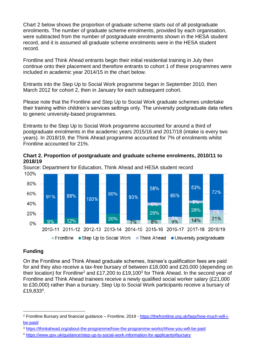Chart 2 below shows the proportion of graduate scheme starts out of all postgraduate enrolments. The number of graduate scheme enrolments, provided by each organisation, were subtracted from the number of postgraduate enrolments shown in the HESA student record, and it is assumed all graduate scheme enrolments were in the HESA student record.

Frontline and Think Ahead entrants begin their initial residential training in July then continue onto their placement and therefore entrants to cohort 1 of these programmes were included in academic year 2014/15 in the chart below.

Entrants into the Step Up to Social Work programme began in September 2010, then March 2012 for cohort 2, then in January for each subsequent cohort.

Please note that the Frontline and Step Up to Social Work graduate schemes undertake their training within children's services settings only. The university postgraduate data refers to generic university-based programmes.

Entrants to the Step Up to Social Work programme accounted for around a third of postgraduate enrolments in the academic years 2015/16 and 2017/18 (intake is every two years). In 2018/19, the Think Ahead programme accounted for 7% of enrolments whilst Frontline accounted for 21%.

**Chart 2. Proportion of postgraduate and graduate scheme enrolments, 2010/11 to 2018/19**



Source: Department for Education, Think Ahead and HESA student record 100%

# **Funding**

On the Frontline and Think Ahead graduate schemes, trainee's qualification fees are paid for and they also receive a tax-free bursary of between £18,000 and £20,000 (depending on their location) for Frontline<sup>2</sup> and £17,200 to £19,100<sup>3</sup> for Think Ahead. In the second year of Frontline and Think Ahead trainees receive a newly qualified social worker salary (£21,000 to £30,000) rather than a bursary. Step Up to Social Work participants receive a bursary of £19,833<sup>4</sup>.

<sup>2</sup> Frontline Bursary and financial guidance – Frontline, 2019 - [https://thefrontline.org.uk/faqs/how-much-will-i](https://thefrontline.org.uk/faqs/how-much-will-i-be-paid/)[be-paid/](https://thefrontline.org.uk/faqs/how-much-will-i-be-paid/)

<sup>3</sup> <https://thinkahead.org/about-the-programme/how-the-programme-works/#how-you-will-be-paid>

<sup>4</sup> <https://www.gov.uk/guidance/step-up-to-social-work-information-for-applicants#bursary>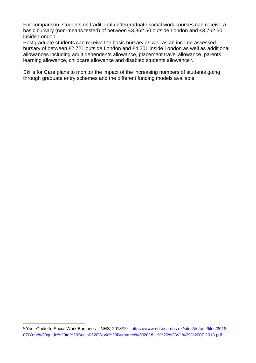For comparison, students on traditional undergraduate social work courses can receive a basic bursary (non-means tested) of between £3,362.50 outside London and £3,762.50 inside London.

Postgraduate students can receive the basic bursary as well as an income assessed bursary of between £2,721 outside London and £4,201 inside London as well as additional allowances including adult dependents allowance, placement travel allowance, parents learning allowance, childcare allowance and disabled students allowance<sup>5</sup>.

Skills for Care plans to monitor the impact of the increasing numbers of students going through graduate entry schemes and the different funding models available.

<sup>5</sup> Your Guide to Social Work Bursaries – NHS, 2018/19 - [https://www.nhsbsa.nhs.uk/sites/default/files/2018-](https://www.nhsbsa.nhs.uk/sites/default/files/2018-07/Your%20guide%20to%20Social%20Work%20Bursaries%202018-19%20%28V1%29%2007.2018.pdf) [07/Your%20guide%20to%20Social%20Work%20Bursaries%202018-19%20%28V1%29%2007.2018.pdf](https://www.nhsbsa.nhs.uk/sites/default/files/2018-07/Your%20guide%20to%20Social%20Work%20Bursaries%202018-19%20%28V1%29%2007.2018.pdf)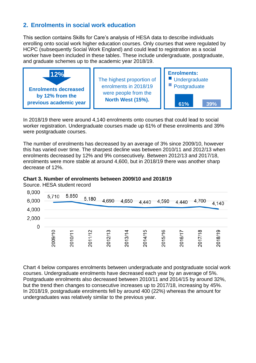# **2. Enrolments in social work education**

This section contains Skills for Care's analysis of HESA data to describe individuals enrolling onto social work higher education courses. Only courses that were regulated by HCPC (subsequently Social Work England) and could lead to registration as a social worker have been included in these tables. These include undergraduate, postgraduate, and graduate schemes up to the academic year 2018/19.



In 2018/19 there were around 4,140 enrolments onto courses that could lead to social worker registration. Undergraduate courses made up 61% of these enrolments and 39% were postgraduate courses.

The number of enrolments has decreased by an average of 3% since 2009/10, however this has varied over time. The sharpest decline was between 2010/11 and 2012/13 when enrolments decreased by 12% and 9% consecutively. Between 2012/13 and 2017/18, enrolments were more stable at around 4,600, but in 2018/19 there was another sharp decrease of 12%.



Source. HESA student record

| 8,000<br>6,000 | 5,710   | 5,850  | 5,180   | 4,690                               | 4,650 | 4,440                    | 4,590   | 4,440       | 4,700                         | 4,140   |
|----------------|---------|--------|---------|-------------------------------------|-------|--------------------------|---------|-------------|-------------------------------|---------|
| 4,000          |         |        |         |                                     |       |                          |         |             |                               |         |
| 2,000          |         |        |         |                                     |       |                          |         |             |                               |         |
| 0              |         |        |         |                                     |       |                          |         |             |                               |         |
|                | 2009/10 | 2010/1 | 2011/12 | $\overline{\mathfrak{c}}$<br>2012/1 | 2013/ | $\overline{5}$<br>2014/1 | 2015/16 | Ľ<br>2016/1 | $\overline{\infty}$<br>2017/1 | 2018/19 |

Chart 4 below compares enrolments between undergraduate and postgraduate social work courses. Undergraduate enrolments have decreased each year by an average of 5%. Postgraduate enrolments also decreased between 2010/11 and 2014/15 by around 32%, but the trend then changes to consecutive increases up to 2017/18, increasing by 45%. In 2018/19, postgraduate enrolments fell by around 400 (22%) whereas the amount for undergraduates was relatively similar to the previous year.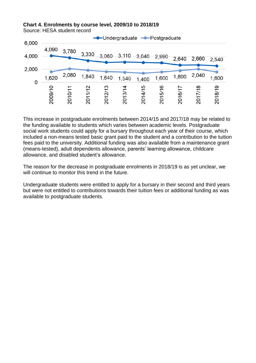#### **Chart 4. Enrolments by course level, 2009/10 to 2018/19**

Source: HESA student record



This increase in postgraduate enrolments between 2014/15 and 2017/18 may be related to the funding available to students which varies between academic levels. Postgraduate social work students could apply for a bursary throughout each year of their course, which included a non-means tested basic grant paid to the student and a contribution to the tuition fees paid to the university. Additional funding was also available from a maintenance grant (means-tested), adult dependents allowance, parents' learning allowance, childcare allowance, and disabled student's allowance.

The reason for the decrease in postgraduate enrolments in 2018/19 is as yet unclear, we will continue to monitor this trend in the future.

Undergraduate students were entitled to apply for a bursary in their second and third years but were not entitled to contributions towards their tuition fees or additional funding as was available to postgraduate students.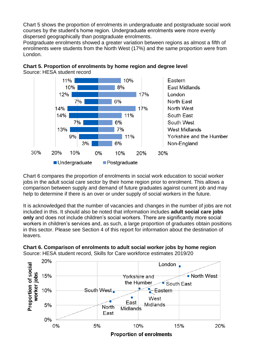Chart 5 shows the proportion of enrolments in undergraduate and postgraduate social work courses by the student's home region. Undergraduate enrolments were more evenly dispersed geographically than postgraduate enrolments.

Postgraduate enrolments showed a greater variation between regions as almost a fifth of enrolments were students from the North West (17%) and the same proportion were from London.





Chart 6 compares the proportion of enrolments in social work education to social worker jobs in the adult social care sector by their home region prior to enrolment. This allows a comparison between supply and demand of future graduates against current job and may help to determine if there is an over or under supply of social workers in the future.

It is acknowledged that the number of vacancies and changes in the number of jobs are not included in this. It should also be noted that information includes **adult social care jobs only** and does not include children's social workers. There are significantly more social workers in children's services and, as such, a large proportion of graduates obtain positions in this sector. Please see Section 4 of this report for information about the destination of leavers.

**Chart 6. Comparison of enrolments to adult social worker jobs by home region** Source: HESA student record, Skills for Care workforce estimates 2019/20

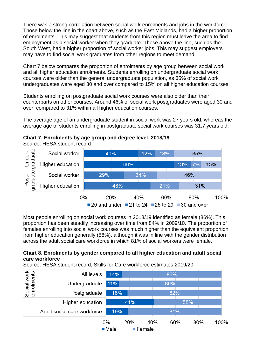There was a strong correlation between social work enrolments and jobs in the workforce. Those below the line in the chart above, such as the East Midlands, had a higher proportion of enrolments. This may suggest that students from this region must leave the area to find employment as a social worker when they graduate. Those above the line, such as the South West, had a higher proportion of social worker jobs. This may suggest employers may have to find social work graduates from other regions to meet demand.

Chart 7 below compares the proportion of enrolments by age group between social work and all higher education enrolments. Students enrolling on undergraduate social work courses were older than the general undergraduate population, as 35% of social work undergraduates were aged 30 and over compared to 15% on all higher education courses.

Students enrolling on postgraduate social work courses were also older than their counterparts on other courses. Around 46% of social work postgraduates were aged 30 and over, compared to 31% within all higher education courses.

The average age of an undergraduate student in social work was 27 years old, whereas the average age of students enrolling in postgraduate social work courses was 31.7 years old.



| Under-<br><sub>Iraduate</sub><br>0 | Social worker    | 40%       | 12%                                                | 13% |     | 35% |           |      |
|------------------------------------|------------------|-----------|----------------------------------------------------|-----|-----|-----|-----------|------|
|                                    | Higher education |           | 66%                                                |     |     | 13% | 7%<br>15% |      |
| Post-<br>graduate                  | Social worker    | 29%       |                                                    | 24% |     | 46% |           |      |
|                                    | Higher education |           | 48%                                                |     | 21% |     | 31%       |      |
|                                    |                  | 0%<br>20% |                                                    | 40% | 60% |     | 80%       | 100% |
|                                    |                  |           | ■ 20 and under ■ 21 to 24 ■ 25 to 29 ■ 30 and over |     |     |     |           |      |

Most people enrolling on social work courses in 2018/19 identified as female (86%). This proportion has been steadily increasing over time from 84% in 2009/10. The proportion of females enrolling into social work courses was much higher than the equivalent proportion from higher education generally (58%), although it was in line with the gender distribution across the adult social care workforce in which 81% of social workers were female.

#### **Chart 8. Enrolments by gender compared to all higher education and adult social care workforce**

Source: HESA student record, Skills for Care workforce estimates 2019/20

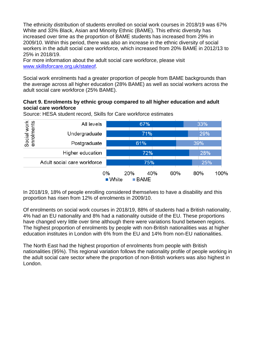The ethnicity distribution of students enrolled on social work courses in 2018/19 was 67% White and 33% Black, Asian and Minority Ethnic (BAME). This ethnic diversity has increased over time as the proportion of BAME students has increased from 29% in 2009/10. Within this period, there was also an increase in the ethnic diversity of social workers in the adult social care workforce, which increased from 20% BAME in 2012/13 to 25% in 2018/19.

For more information about the adult social care workforce, please visit [www.skillsforcare.org.uk/stateof.](http://www.skillsforcare.org.uk/stateof)

Social work enrolments had a greater proportion of people from BAME backgrounds than the average across all higher education (28% BAME) as well as social workers across the adult social care workforce (25% BAME).

#### **Chart 9. Enrolments by ethnic group compared to all higher education and adult social care workforce**

Source: HESA student record, Skills for Care workforce estimates

| Social work<br>enrolments | All levels                  | 67%<br>71%    |                            |     |     | 33% |      |  |
|---------------------------|-----------------------------|---------------|----------------------------|-----|-----|-----|------|--|
|                           | Undergraduate               |               |                            |     |     | 29% |      |  |
|                           | Postgraduate                |               | 61%                        |     |     | 39% |      |  |
|                           | Higher education            |               | 72%                        |     |     | 28% |      |  |
|                           | Adult social care workforce |               | 75%                        |     |     | 25% |      |  |
|                           |                             | 0%<br>■ White | 20%<br>$\blacksquare$ BAME | 40% | 60% | 80% | 100% |  |

In 2018/19, 18% of people enrolling considered themselves to have a disability and this proportion has risen from 12% of enrolments in 2009/10.

Of enrolments on social work courses in 2018/19, 88% of students had a British nationality, 4% had an EU nationality and 8% had a nationality outside of the EU. These proportions have changed very little over time although there were variations found between regions. The highest proportion of enrolments by people with non-British nationalities was at higher education institutes in London with 6% from the EU and 14% from non-EU nationalities.

The North East had the highest proportion of enrolments from people with British nationalities (95%). This regional variation follows the nationality profile of people working in the adult social care sector where the proportion of non-British workers was also highest in London.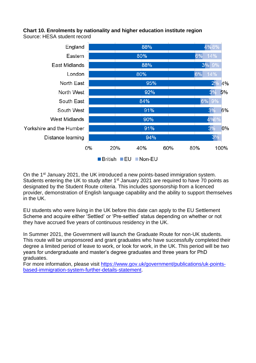#### **Chart 10. Enrolments by nationality and higher education institute region** Source: HESA student record



On the 1st January 2021, the UK introduced a new points-based immigration system. Students entering the UK to study after  $1<sup>st</sup>$  January 2021 are required to have 70 points as designated by the Student Route criteria. This includes sponsorship from a licenced provider, demonstration of English language capability and the ability to support themselves in the UK.

EU students who were living in the UK before this date can apply to the EU Settlement Scheme and acquire either 'Settled' or 'Pre-settled' status depending on whether or not they have accrued five years of continuous residency in the UK.

In Summer 2021, the Government will launch the Graduate Route for non-UK students. This route will be unsponsored and grant graduates who have successfully completed their degree a limited period of leave to work, or look for work, in the UK. This period will be two years for undergraduate and master's degree graduates and three years for PhD graduates.

For more information, please visit [https://www.gov.uk/government/publications/uk-points](https://www.gov.uk/government/publications/uk-points-based-immigration-system-further-details-statement)[based-immigration-system-further-details-statement.](https://www.gov.uk/government/publications/uk-points-based-immigration-system-further-details-statement)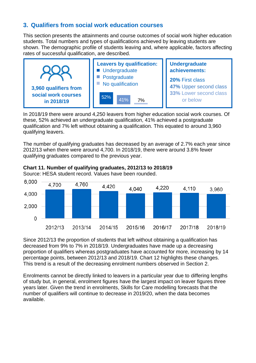# **3. Qualifiers from social work education courses**

This section presents the attainments and course outcomes of social work higher education students. Total numbers and types of qualifications achieved by leaving students are shown. The demographic profile of students leaving and, where applicable, factors affecting rates of successful qualification, are described.



In 2018/19 there were around 4,250 leavers from higher education social work courses. Of these, 52% achieved an undergraduate qualification, 41% achieved a postgraduate qualification and 7% left without obtaining a qualification. This equated to around 3,960 qualifying leavers.

The number of qualifying graduates has decreased by an average of 2.7% each year since 2012/13 when there were around 4,700. In 2018/19, there were around 3.8% fewer qualifying graduates compared to the previous year.



#### **Chart 11. Number of qualifying graduates, 2012/13 to 2018/19**

Source: HESA student record. Values have been rounded.

Since 2012/13 the proportion of students that left without obtaining a qualification has decreased from 9% to 7% in 2018/19. Undergraduates have made up a decreasing proportion of qualifiers whereas postgraduates have accounted for more, increasing by 14 percentage points, between 2012/13 and 2018/19. Chart 12 highlights these changes. This trend is a result of the decreasing enrolment numbers observed in Section 2.

Enrolments cannot be directly linked to leavers in a particular year due to differing lengths of study but, in general, enrolment figures have the largest impact on leaver figures three years later. Given the trend in enrolments, Skills for Care modelling forecasts that the number of qualifiers will continue to decrease in 2019/20, when the data becomes available.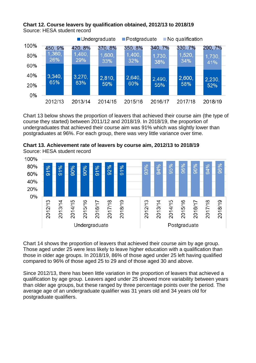



Chart 13 below shows the proportion of leavers that achieved their course aim (the type of course they started) between 2011/12 and 2018/19. In 2018/19, the proportion of undergraduates that achieved their course aim was 91% which was slightly lower than postgraduates at 96%. For each group, there was very little variance over time.





Chart 14 shows the proportion of leavers that achieved their course aim by age group. Those aged under 25 were less likely to leave higher education with a qualification than those in older age groups. In 2018/19, 86% of those aged under 25 left having qualified compared to 96% of those aged 25 to 29 and of those aged 30 and above.

Since 2012/13, there has been little variation in the proportion of leavers that achieved a qualification by age group. Leavers aged under 25 showed more variability between years than older age groups, but these ranged by three percentage points over the period. The average age of an undergraduate qualifier was 31 years old and 34 years old for postgraduate qualifiers.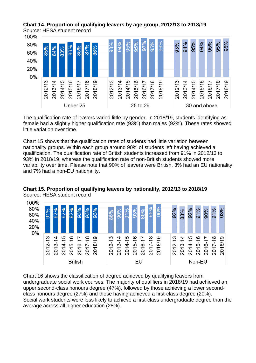



The qualification rate of leavers varied little by gender. In 2018/19, students identifying as female had a slightly higher qualification rate (93%) than males (92%). These rates showed little variation over time.

Chart 15 shows that the qualification rates of students had little variation between nationality groups. Within each group around 90% of students left having achieved a qualification. The qualification rate of British students increased from 91% in 2012/13 to 93% in 2018/19, whereas the qualification rate of non-British students showed more variability over time. Please note that 90% of leavers were British, 3% had an EU nationality and 7% had a non-EU nationality.





Chart 16 shows the classification of degree achieved by qualifying leavers from undergraduate social work courses. The majority of qualifiers in 2018/19 had achieved an upper second-class honours degree (47%), followed by those achieving a lower secondclass honours degree (27%) and those having achieved a first-class degree (20%). Social work students were less likely to achieve a first-class undergraduate degree than the average across all higher education (28%).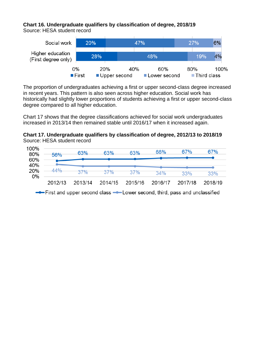# **Chart 16. Undergraduate qualifiers by classification of degree, 2018/19**

Source: HESA student record



The proportion of undergraduates achieving a first or upper second-class degree increased in recent years. This pattern is also seen across higher education. Social work has historically had slightly lower proportions of students achieving a first or upper second-class degree compared to all higher education.

Chart 17 shows that the degree classifications achieved for social work undergraduates increased in 2013/14 then remained stable until 2016/17 when it increased again.

# **Chart 17. Undergraduate qualifiers by classification of degree, 2012/13 to 2018/19** Source: HESA student record

| 100% | 56%     | 63%     | 63%     | 63%     | 66%                                                                        | 67%     | 67%     |
|------|---------|---------|---------|---------|----------------------------------------------------------------------------|---------|---------|
|      |         |         |         |         |                                                                            |         |         |
|      | 44%     | 37%     | 37%     | 37%     | 34%                                                                        | 33%     | 33%     |
| 0%   | 2012/13 | 2013/14 | 2014/15 | 2015/16 | 2016/17                                                                    | 2017/18 | 2018/19 |
|      |         |         |         |         | -First and upper second class --Lower second, third, pass and unclassified |         |         |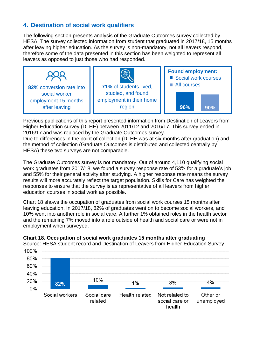# **4. Destination of social work qualifiers**

The following section presents analysis of the Graduate Outcomes survey collected by HESA. The survey collected information from student that graduated in 2017/18, 15 months after leaving higher education. As the survey is non-mandatory, not all leavers respond, therefore some of the data presented in this section has been weighted to represent all leavers as opposed to just those who had responded.



Previous publications of this report presented information from Destination of Leavers from Higher Education survey (DLHE) between 2011/12 and 2016/17. This survey ended in 2016/17 and was replaced by the Graduate Outcomes survey.

Due to differences in the point of collection (DLHE was at six months after graduation) and the method of collection (Graduate Outcomes is distributed and collected centrally by HESA) these two surveys are not comparable.

The Graduate Outcomes survey is not mandatory. Out of around 4,110 qualifying social work graduates from 2017/18, we found a survey response rate of 53% for a graduate's job and 55% for their general activity after studying. A higher response rate means the survey results will more accurately reflect the target population. Skills for Care has weighted the responses to ensure that the survey is as representative of all leavers from higher education courses in social work as possible.

Chart 18 shows the occupation of graduates from social work courses 15 months after leaving education. In 2017/18, 82% of graduates went on to become social workers, and 10% went into another role in social care. A further 1% obtained roles in the health sector and the remaining 7% moved into a role outside of health and social care or were not in employment when surveyed.



#### **Chart 18. Occupation of social work graduates 15 months after graduating**

Source: HESA student record and Destination of Leavers from Higher Education Survey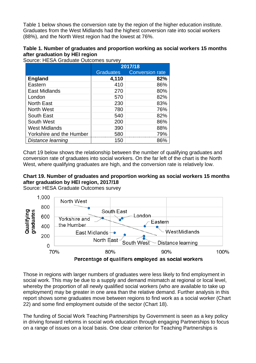Table 1 below shows the conversion rate by the region of the higher education institute. Graduates from the West Midlands had the highest conversion rate into social workers (88%), and the North West region had the lowest at 76%.

#### **Table 1. Number of graduates and proportion working as social workers 15 months after graduation by HEI region**

Source: HESA Graduate Outcomes survey

|                          | 2017/18   |                        |  |
|--------------------------|-----------|------------------------|--|
|                          | Graduates | <b>Conversion rate</b> |  |
| <b>England</b>           | 4,110     | 82%                    |  |
| Eastern                  | 410       | 86%                    |  |
| East Midlands            | 270       | 80%                    |  |
| London                   | 570       | 82%                    |  |
| <b>North East</b>        | 230       | 83%                    |  |
| <b>North West</b>        | 780       | 76%                    |  |
| South East               | 540       | 82%                    |  |
| South West               | 200       | 86%                    |  |
| <b>West Midlands</b>     | 390       | 88%                    |  |
| Yorkshire and the Humber | 580       | 79%                    |  |
| Distance learning        | 150       | 86%                    |  |

Chart 19 below shows the relationship between the number of qualifying graduates and conversion rate of graduates into social workers. On the far left of the chart is the North West, where qualifying graduates are high, and the conversion rate is relatively low.

# **Chart 19. Number of graduates and proportion working as social workers 15 months after graduation by HEI region, 2017/18**

Source: HESA Graduate Outcomes survey



Those in regions with larger numbers of graduates were less likely to find employment in social work. This may be due to a supply and demand mismatch at regional or local level, whereby the proportion of all newly qualified social workers (who are available to take up employment) may be greater in one area than the relative demand. Further analysis in this report shows some graduates move between regions to find work as a social worker (Chart 22) and some find employment outside of the sector (Chart 18).

The funding of Social Work Teaching Partnerships by Government is seen as a key policy in driving forward reforms in social work education through engaging Partnerships to focus on a range of issues on a local basis. One clear criterion for Teaching Partnerships is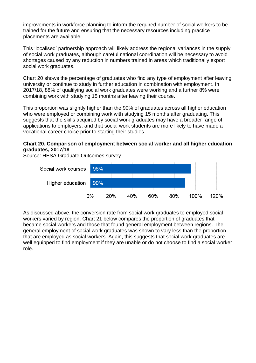improvements in workforce planning to inform the required number of social workers to be trained for the future and ensuring that the necessary resources including practice placements are available.

This 'localised' partnership approach will likely address the regional variances in the supply of social work graduates, although careful national coordination will be necessary to avoid shortages caused by any reduction in numbers trained in areas which traditionally export social work graduates.

Chart 20 shows the percentage of graduates who find any type of employment after leaving university or continue to study in further education in combination with employment. In 2017/18, 88% of qualifying social work graduates were working and a further 8% were combining work with studying 15 months after leaving their course.

This proportion was slightly higher than the 90% of graduates across all higher education who were employed or combining work with studying 15 months after graduating. This suggests that the skills acquired by social work graduates may have a broader range of applications to employers, and that social work students are more likely to have made a vocational career choice prior to starting their studies.

#### **Chart 20. Comparison of employment between social worker and all higher education graduates, 2017/18**

Source: HESA Graduate Outcomes survey



As discussed above, the conversion rate from social work graduates to employed social workers varied by region. Chart 21 below compares the proportion of graduates that became social workers and those that found general employment between regions. The general employment of social work graduates was shown to vary less than the proportion that are employed as social workers. Again, this suggests that social work graduates are well equipped to find employment if they are unable or do not choose to find a social worker role.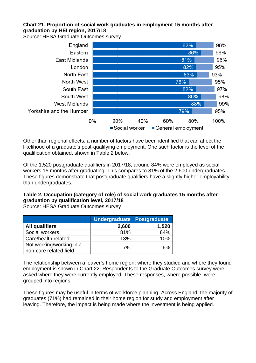# **Chart 21. Proportion of social work graduates in employment 15 months after graduation by HEI region, 2017/18**

Source: HESA Graduate Outcomes survey



Other than regional effects, a number of factors have been identified that can affect the likelihood of a graduate's post-qualifying employment. One such factor is the level of the qualification obtained, shown in Table 2 below.

Of the 1,520 postgraduate qualifiers in 2017/18, around 84% were employed as social workers 15 months after graduating. This compares to 81% of the 2,600 undergraduates. These figures demonstrate that postgraduate qualifiers have a slightly higher employability than undergraduates.

# **Table 2. Occupation (category of role) of social work graduates 15 months after graduation by qualification level, 2017/18**

**Undergraduate Postgraduate All qualifiers 2,600 1,520** Social workers **81% 81% 84%** Care/health related  $13\%$  | 10% Not working/working in a non-care related field  $\begin{array}{ccc} 7\% \\ \end{array}$  7% 6%

Source: HESA Graduate Outcomes survey

The relationship between a leaver's home region, where they studied and where they found employment is shown in Chart 22. Respondents to the Graduate Outcomes survey were asked where they were currently employed. These responses, where possible, were grouped into regions.

These figures may be useful in terms of workforce planning. Across England, the majority of graduates (71%) had remained in their home region for study and employment after leaving. Therefore, the impact is being made where the investment is being applied.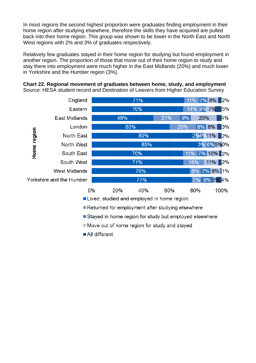In most regions the second highest proportion were graduates finding employment in their home region after studying elsewhere, therefore the skills they have acquired are pulled back into their home region. This group was shown to be lower in the North East and North West regions with 2% and 3% of graduates respectively.

Relatively few graduates stayed in their home region for studying but found employment in another region. The proportion of those that move out of their home region to study and stay there into employment were much higher in the East Midlands (20%) and much lower in Yorkshire and the Humber region (3%).

**Chart 22. Regional movement of graduates between home, study, and employment**  Source: HESA student record and Destination of Leavers from Higher Education Survey



All different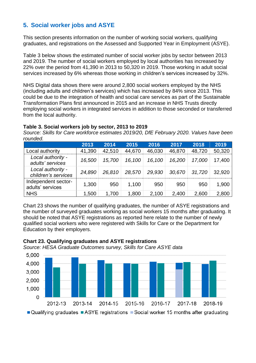# **5. Social worker jobs and ASYE**

This section presents information on the number of working social workers, qualifying graduates, and registrations on the Assessed and Supported Year in Employment (ASYE).

Table 3 below shows the estimated number of social worker jobs by sector between 2013 and 2019. The number of social workers employed by local authorities has increased by 22% over the period from 41,390 in 2013 to 50,320 in 2019. Those working in adult social services increased by 6% whereas those working in children's services increased by 32%.

NHS Digital data shows there were around 2,800 social workers employed by the NHS (including adults and children's services) which has increased by 84% since 2013. This could be due to the integration of health and social care services as part of the Sustainable Transformation Plans first announced in 2015 and an increase in NHS Trusts directly employing social workers in integrated services in addition to those seconded or transferred from the local authority.

#### **Table 3. Social workers job by sector, 2013 to 2019**

*Source: Skills for Care workforce estimates 2019/20, DfE February 2020. Values have been rounded.*

|                                          | 2013   | 2014   | 2015   | 2016   | 2017   | 2018   | 2019   |
|------------------------------------------|--------|--------|--------|--------|--------|--------|--------|
| Local authority                          | 41,390 | 42,510 | 44,670 | 46,030 | 46,870 | 48,720 | 50,320 |
| Local authority -<br>adults' services    | 16,500 | 15,700 | 16,100 | 16,100 | 16,200 | 17,000 | 17,400 |
| Local authority -<br>children's services | 24,890 | 26.810 | 28,570 | 29,930 | 30.670 | 31,720 | 32.920 |
| Independent sector-<br>adults' services  | 1,300  | 950    | 1,100  | 950    | 950    | 950    | 1,900  |
| <b>NHS</b>                               | 1,500  | 1,700  | 1,800  | 2,100  | 2,400  | 2,600  | 2,800  |

Chart 23 shows the number of qualifying graduates, the number of ASYE registrations and the number of surveyed graduates working as social workers 15 months after graduating. It should be noted that ASYE registrations as reported here relate to the number of newly qualified social workers who were registered with Skills for Care or the Department for Education by their employers.



# **Chart 23. Qualifying graduates and ASYE registrations**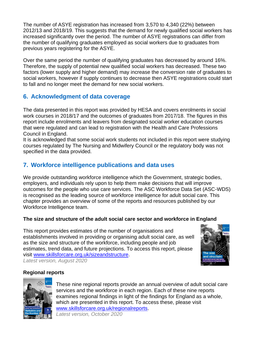The number of ASYE registration has increased from 3,570 to 4,340 (22%) between 2012/13 and 2018/19. This suggests that the demand for newly qualified social workers has increased significantly over the period. The number of ASYE registrations can differ from the number of qualifying graduates employed as social workers due to graduates from previous years registering for the ASYE.

Over the same period the number of qualifying graduates has decreased by around 16%. Therefore, the supply of potential new qualified social workers has decreased. These two factors (lower supply and higher demand) may increase the conversion rate of graduates to social workers, however if supply continues to decrease then ASYE registrations could start to fall and no longer meet the demand for new social workers.

# **6. Acknowledgment of data coverage**

The data presented in this report was provided by HESA and covers enrolments in social work courses in 2018/17 and the outcomes of graduates from 2017/18. The figures in this report include enrolments and leavers from designated social worker education courses that were regulated and can lead to registration with the Health and Care Professions Council in England.

It is acknowledged that some social work students not included in this report were studying courses regulated by The Nursing and Midwifery Council or the regulatory body was not specified in the data provided.

# **7. Workforce intelligence publications and data uses**

We provide outstanding workforce intelligence which the Government, strategic bodies, employers, and individuals rely upon to help them make decisions that will improve outcomes for the people who use care services. The ASC Workforce Data Set (ASC-WDS) is recognised as the leading source of workforce intelligence for adult social care. This chapter provides an overview of some of the reports and resources published by our Workforce Intelligence team.

# **The size and structure of the adult social care sector and workforce in England**

This report provides estimates of the number of organisations and establishments involved in providing or organising adult social care, as well as the size and structure of the workforce, including people and job estimates, trend data, and future projections. To access this report, please visit [www.skillsforcare.org.uk/sizeandstructure.](http://www.skillsforcare.org.uk/sizeandstructure) *Latest version, August 2020*



# **Regional reports**



These nine regional reports provide an annual overview of adult social care services and the workforce in each region. Each of these nine reports examines regional findings in light of the findings for England as a whole. which are presented in this report. To access these, please visit [www.skillsforcare.org.uk/regionalreports.](http://www.skillsforcare.org.uk/regionalreports) *Latest version, October 2020*